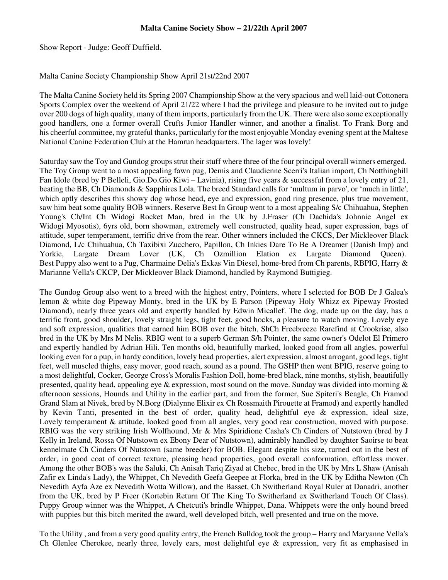Show Report - Judge: Geoff Duffield.

## Malta Canine Society Championship Show April 21st/22nd 2007

The Malta Canine Society held its Spring 2007 Championship Show at the very spacious and well laid-out Cottonera Sports Complex over the weekend of April 21/22 where I had the privilege and pleasure to be invited out to judge over 200 dogs of high quality, many of them imports, particularly from the UK. There were also some exceptionally good handlers, one a former overall Crufts Junior Handler winner, and another a finalist. To Frank Borg and his cheerful committee, my grateful thanks, particularly for the most enjoyable Monday evening spent at the Maltese National Canine Federation Club at the Hamrun headquarters. The lager was lovely!

Saturday saw the Toy and Gundog groups strut their stuff where three of the four principal overall winners emerged. The Toy Group went to a most appealing fawn pug, Demis and Claudienne Scerri's Italian import, Ch Notthinghill Fan Idole (bred by P Belleli, Gio.Do.Gio Kiwi – Lavinia), rising five years & successful from a lovely entry of 21, beating the BB, Ch Diamonds & Sapphires Lola. The breed Standard calls for 'multum in parvo', or 'much in little', which aptly describes this showy dog whose head, eye and expression, good ring presence, plus true movement, saw him beat some quality BOB winners. Reserve Best In Group went to a most appealing S/c Chihuahua, Stephen Young's Ch/Int Ch Widogi Rocket Man, bred in the Uk by J.Fraser (Ch Dachida's Johnnie Angel ex Widogi Myosotis), 6yrs old, born showman, extremely well constructed, quality head, super expression, bags of attitude, super temperament, terrific drive from the rear. Other winners included the CKCS, Der Mickleover Black Diamond, L/c Chihuahua, Ch Taxibixi Zucchero, Papillon, Ch Inkies Dare To Be A Dreamer (Danish Imp) and Yorkie, Largate Dream Lover (UK, Ch Ozmillion Elation ex Largate Diamond Queen). Best Puppy also went to a Pug, Charmaine Delia's Exkas Vin Diesel, home-bred from Ch parents, RBPIG, Harry & Marianne Vella's CKCP, Der Mickleover Black Diamond, handled by Raymond Buttigieg.

The Gundog Group also went to a breed with the highest entry, Pointers, where I selected for BOB Dr J Galea's lemon & white dog Pipeway Monty, bred in the UK by E Parson (Pipeway Holy Whizz ex Pipeway Frosted Diamond), nearly three years old and expertly handled by Edwin Micallef. The dog, made up on the day, has a terrific front, good shoulder, lovely straight legs, tight feet, good hocks, a pleasure to watch moving. Lovely eye and soft expression, qualities that earned him BOB over the bitch, ShCh Freebreeze Rarefind at Crookrise, also bred in the UK by Mrs M Nelis. RBIG went to a superb German S/h Pointer, the same owner's Odelot El Primero and expertly handled by Adrian Hili. Ten months old, beautifully marked, looked good from all angles, powerful looking even for a pup, in hardy condition, lovely head properties, alert expression, almost arrogant, good legs, tight feet, well muscled thighs, easy mover, good reach, sound as a pound. The GSHP then went BPIG, reserve going to a most delightful, Cocker, George Cross's Moralis Fashion Doll, home-bred black, nine months, stylish, beautifully presented, quality head, appealing eye & expression, most sound on the move. Sunday was divided into morning & afternoon sessions, Hounds and Utility in the earlier part, and from the former, Sue Spiteri's Beagle, Ch Framod Grand Slam at Nivek, bred by N.Borg (Dialynne Elixir ex Ch Rossmaith Pirouette at Framod) and expertly handled by Kevin Tanti, presented in the best of order, quality head, delightful eye & expression, ideal size, Lovely temperament & attitude, looked good from all angles, very good rear construction, moved with purpose. RBIG was the very striking Irish Wolfhound, Mr & Mrs Spiridione Casha's Ch Cinders of Nutstown (bred by J Kelly in Ireland, Rossa Of Nutstown ex Ebony Dear of Nutstown), admirably handled by daughter Saoirse to beat kennelmate Ch Cinders Of Nutstown (same breeder) for BOB. Elegant despite his size, turned out in the best of order, in good coat of correct texture, pleasing head properties, good overall conformation, effortless mover. Among the other BOB's was the Saluki, Ch Anisah Tariq Ziyad at Chebec, bred in the UK by Mrs L Shaw (Anisah Zafir ex Linda's Lady), the Whippet, Ch Nevedith Geefa Geepee at Florka, bred in the UK by Editha Newton (Ch Nevedith Ayfa Aze ex Nevedith Wotta Willow), and the Basset, Ch Switherland Royal Ruler at Danadri, another from the UK, bred by P Freer (Kortebin Return Of The King To Switherland ex Switherland Touch Of Class). Puppy Group winner was the Whippet, A Chetcuti's brindle Whippet, Dana. Whippets were the only hound breed with puppies but this bitch merited the award, well developed bitch, well presented and true on the move.

To the Utility , and from a very good quality entry, the French Bulldog took the group – Harry and Maryanne Vella's Ch Glenlee Cherokee, nearly three, lovely ears, most delightful eye & expression, very fit as emphasised in